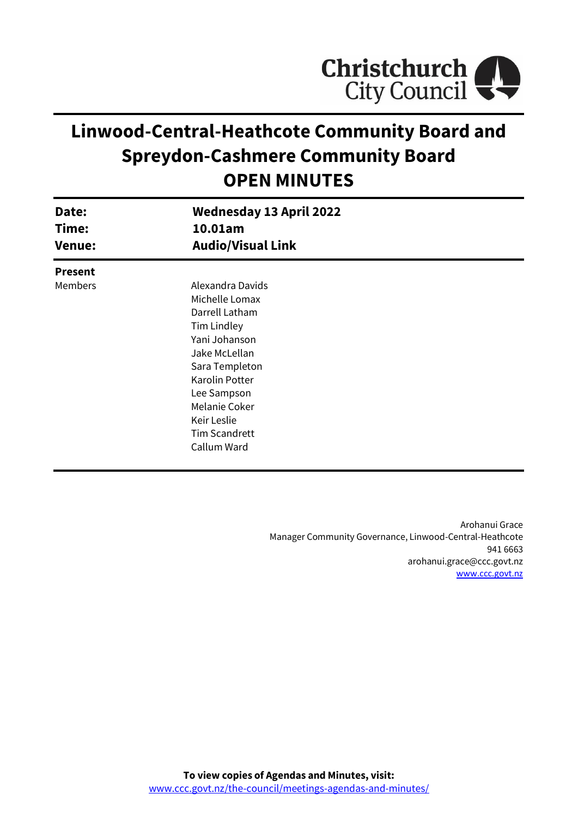

# **Linwood-Central-Heathcote Community Board and Spreydon-Cashmere Community Board OPEN MINUTES**

| Date:<br>Time:<br><b>Venue:</b> | <b>Wednesday 13 April 2022</b><br>10.01am<br><b>Audio/Visual Link</b> |  |
|---------------------------------|-----------------------------------------------------------------------|--|
| <b>Present</b>                  |                                                                       |  |
| <b>Members</b>                  | Alexandra Davids                                                      |  |
|                                 | Michelle Lomax                                                        |  |
|                                 | Darrell Latham                                                        |  |
|                                 | Tim Lindley                                                           |  |
|                                 | Yani Johanson                                                         |  |
|                                 | Jake McLellan                                                         |  |
|                                 | Sara Templeton                                                        |  |
|                                 | Karolin Potter                                                        |  |
|                                 | Lee Sampson                                                           |  |
|                                 | Melanie Coker                                                         |  |
|                                 | Keir Leslie                                                           |  |
|                                 | <b>Tim Scandrett</b>                                                  |  |
|                                 | Callum Ward                                                           |  |
|                                 |                                                                       |  |

Arohanui Grace Manager Community Governance, Linwood-Central-Heathcote 941 6663 arohanui.grace@ccc.govt.nz [www.ccc.govt.nz](http://www.ccc.govt.nz/)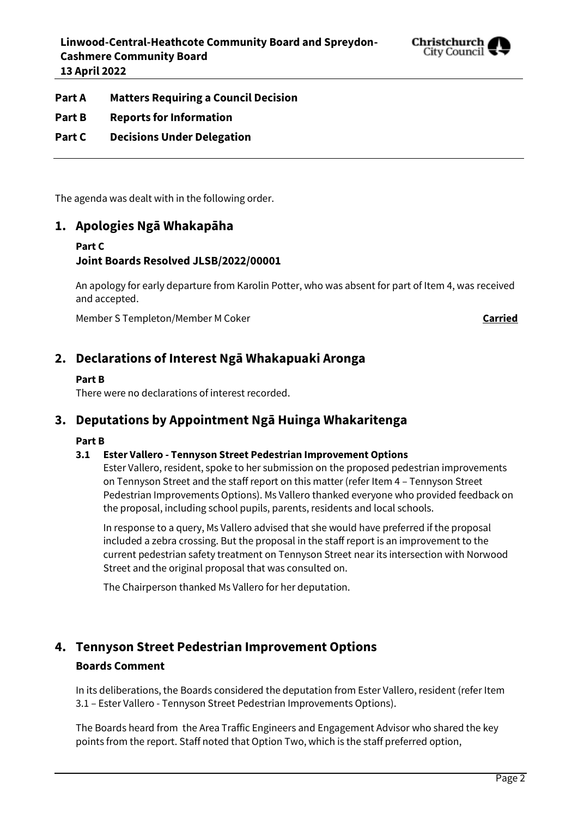

**Part A Matters Requiring a Council Decision**

- **Part B Reports for Information**
- **Part C Decisions Under Delegation**

The agenda was dealt with in the following order.

#### **1. Apologies Ngā Whakapāha**

#### **Part C Joint Boards Resolved JLSB/2022/00001**

An apology for early departure from Karolin Potter, who was absent for part of Item 4, was received and accepted.

Member S Templeton/Member M Coker **Carried**

### **2. Declarations of Interest Ngā Whakapuaki Aronga**

#### **Part B**

There were no declarations of interest recorded.

### **3. Deputations by Appointment Ngā Huinga Whakaritenga**

#### **Part B**

#### **3.1 Ester Vallero - Tennyson Street Pedestrian Improvement Options**

Ester Vallero, resident, spoke to her submission on the proposed pedestrian improvements on Tennyson Street and the staff report on this matter (refer Item 4 – Tennyson Street Pedestrian Improvements Options). Ms Vallero thanked everyone who provided feedback on the proposal, including school pupils, parents, residents and local schools.

In response to a query, Ms Vallero advised that she would have preferred if the proposal included a zebra crossing. But the proposal in the staff report is an improvement to the current pedestrian safety treatment on Tennyson Street near its intersection with Norwood Street and the original proposal that was consulted on.

The Chairperson thanked Ms Vallero for her deputation.

## **4. Tennyson Street Pedestrian Improvement Options Boards Comment**

In its deliberations, the Boards considered the deputation from Ester Vallero, resident (refer Item 3.1 – Ester Vallero - Tennyson Street Pedestrian Improvements Options).

The Boards heard from the Area Traffic Engineers and Engagement Advisor who shared the key points from the report. Staff noted that Option Two, which is the staff preferred option,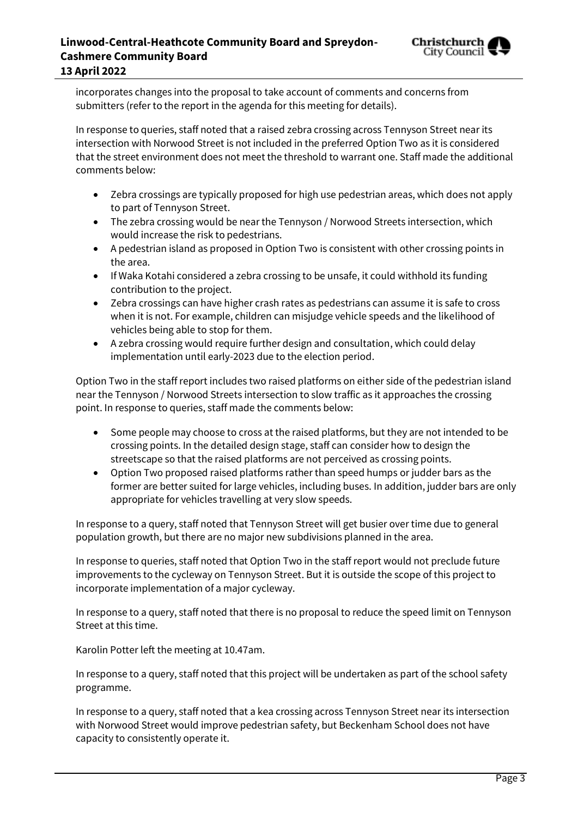

incorporates changes into the proposal to take account of comments and concerns from submitters (refer to the report in the agenda for this meeting for details).

In response to queries, staff noted that a raised zebra crossing across Tennyson Street near its intersection with Norwood Street is not included in the preferred Option Two as it is considered that the street environment does not meet the threshold to warrant one. Staff made the additional comments below:

- Zebra crossings are typically proposed for high use pedestrian areas, which does not apply to part of Tennyson Street.
- The zebra crossing would be near the Tennyson / Norwood Streets intersection, which would increase the risk to pedestrians.
- A pedestrian island as proposed in Option Two is consistent with other crossing points in the area.
- If Waka Kotahi considered a zebra crossing to be unsafe, it could withhold its funding contribution to the project.
- Zebra crossings can have higher crash rates as pedestrians can assume it is safe to cross when it is not. For example, children can misjudge vehicle speeds and the likelihood of vehicles being able to stop for them.
- A zebra crossing would require further design and consultation, which could delay implementation until early-2023 due to the election period.

Option Two in the staff report includes two raised platforms on either side of the pedestrian island near the Tennyson / Norwood Streets intersection to slow traffic as it approaches the crossing point. In response to queries, staff made the comments below:

- Some people may choose to cross at the raised platforms, but they are not intended to be crossing points. In the detailed design stage, staff can consider how to design the streetscape so that the raised platforms are not perceived as crossing points.
- Option Two proposed raised platforms rather than speed humps or judder bars as the former are better suited for large vehicles, including buses. In addition, judder bars are only appropriate for vehicles travelling at very slow speeds.

In response to a query, staff noted that Tennyson Street will get busier over time due to general population growth, but there are no major new subdivisions planned in the area.

In response to queries, staff noted that Option Two in the staff report would not preclude future improvements to the cycleway on Tennyson Street. But it is outside the scope of this project to incorporate implementation of a major cycleway.

In response to a query, staff noted that there is no proposal to reduce the speed limit on Tennyson Street at this time.

Karolin Potter left the meeting at 10.47am.

In response to a query, staff noted that this project will be undertaken as part of the school safety programme.

In response to a query, staff noted that a kea crossing across Tennyson Street near its intersection with Norwood Street would improve pedestrian safety, but Beckenham School does not have capacity to consistently operate it.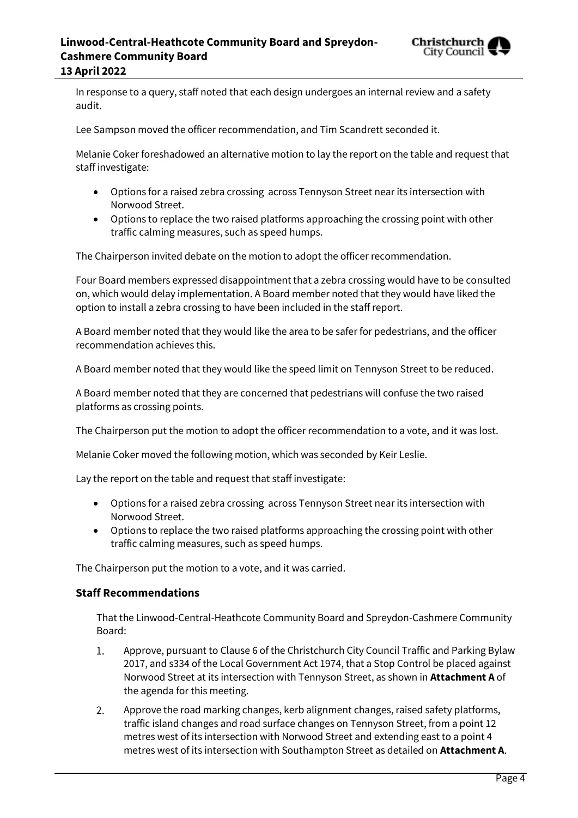

In response to a query, staff noted that each design undergoes an internal review and a safety audit.

Lee Sampson moved the officer recommendation, and Tim Scandrett seconded it.

Melanie Coker foreshadowed an alternative motion to lay the report on the table and request that staff investigate:

- Options for a raised zebra crossing across Tennyson Street near its intersection with Norwood Street.
- Options to replace the two raised platforms approaching the crossing point with other traffic calming measures, such as speed humps.

The Chairperson invited debate on the motion to adopt the officer recommendation.

Four Board members expressed disappointment that a zebra crossing would have to be consulted on, which would delay implementation. A Board member noted that they would have liked the option to install a zebra crossing to have been included in the staff report.

A Board member noted that they would like the area to be safer for pedestrians, and the officer recommendation achieves this.

A Board member noted that they would like the speed limit on Tennyson Street to be reduced.

A Board member noted that they are concerned that pedestrians will confuse the two raised platforms as crossing points.

The Chairperson put the motion to adopt the officer recommendation to a vote, and it was lost.

Melanie Coker moved the following motion, which was seconded by Keir Leslie.

Lay the report on the table and request that staff investigate:

- Options for a raised zebra crossing across Tennyson Street near its intersection with Norwood Street.
- Options to replace the two raised platforms approaching the crossing point with other traffic calming measures, such as speed humps.

The Chairperson put the motion to a vote, and it was carried.

#### **Staff Recommendations**

That the Linwood-Central-Heathcote Community Board and Spreydon-Cashmere Community Board:

- $1.$ Approve, pursuant to Clause 6 of the Christchurch City Council Traffic and Parking Bylaw 2017, and s334 of the Local Government Act 1974, that a Stop Control be placed against Norwood Street at its intersection with Tennyson Street, as shown in **Attachment A** of the agenda for this meeting.
- Approve the road marking changes, kerb alignment changes, raised safety platforms, 2. traffic island changes and road surface changes on Tennyson Street, from a point 12 metres west of its intersection with Norwood Street and extending east to a point 4 metres west of its intersection with Southampton Street as detailed on **Attachment A**.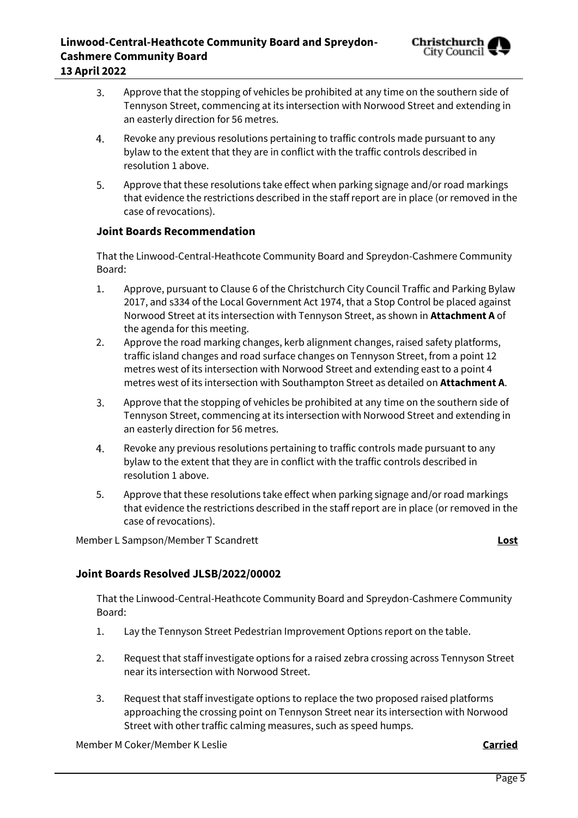

- 3. Approve that the stopping of vehicles be prohibited at any time on the southern side of Tennyson Street, commencing at its intersection with Norwood Street and extending in an easterly direction for 56 metres.
- 4. Revoke any previous resolutions pertaining to traffic controls made pursuant to any bylaw to the extent that they are in conflict with the traffic controls described in resolution 1 above.
- 5. Approve that these resolutions take effect when parking signage and/or road markings that evidence the restrictions described in the staff report are in place (or removed in the case of revocations).

#### **Joint Boards Recommendation**

That the Linwood-Central-Heathcote Community Board and Spreydon-Cashmere Community Board:

- 1. Approve, pursuant to Clause 6 of the Christchurch City Council Traffic and Parking Bylaw 2017, and s334 of the Local Government Act 1974, that a Stop Control be placed against Norwood Street at its intersection with Tennyson Street, as shown in **Attachment A** of the agenda for this meeting.
- 2. Approve the road marking changes, kerb alignment changes, raised safety platforms, traffic island changes and road surface changes on Tennyson Street, from a point 12 metres west of its intersection with Norwood Street and extending east to a point 4 metres west of its intersection with Southampton Street as detailed on **Attachment A**.
- 3. Approve that the stopping of vehicles be prohibited at any time on the southern side of Tennyson Street, commencing at its intersection with Norwood Street and extending in an easterly direction for 56 metres.
- 4. Revoke any previous resolutions pertaining to traffic controls made pursuant to any bylaw to the extent that they are in conflict with the traffic controls described in resolution 1 above.
- 5. Approve that these resolutions take effect when parking signage and/or road markings that evidence the restrictions described in the staff report are in place (or removed in the case of revocations).

Member L Sampson/Member T Scandrett **Lost**

#### **Joint Boards Resolved JLSB/2022/00002**

That the Linwood-Central-Heathcote Community Board and Spreydon-Cashmere Community Board:

- 1. Lay the Tennyson Street Pedestrian Improvement Options report on the table.
- 2. Request that staff investigate options for a raised zebra crossing across Tennyson Street near its intersection with Norwood Street.
- 3. Request that staff investigate options to replace the two proposed raised platforms approaching the crossing point on Tennyson Street near its intersection with Norwood Street with other traffic calming measures, such as speed humps.

Member M Coker/Member K Leslie **Carried**